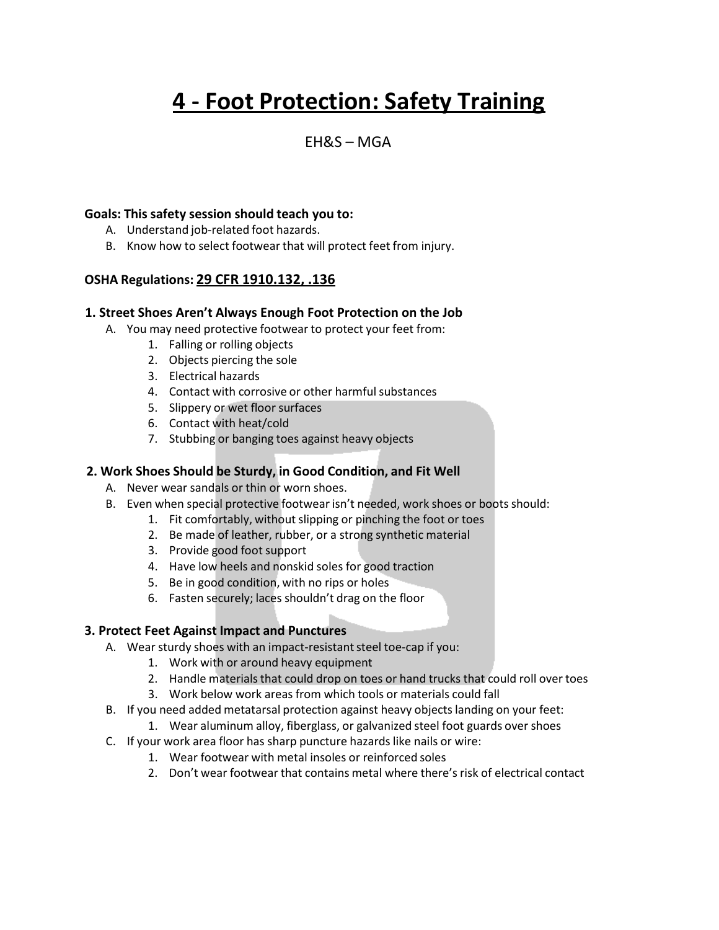# **4 - Foot Protection: Safety Training**

# $FHRS - MGA$

#### **Goals: This safety session should teach you to:**

- A. Understand job-related foot hazards.
- B. Know how to select footwear that will protect feet from injury.

# **OSHA Regulations: 29 CFR 1910.132, .136**

#### **1. Street Shoes Aren't Always Enough Foot Protection on the Job**

- A. You may need protective footwear to protect your feet from:
	- 1. Falling or rolling objects
	- 2. Objects piercing the sole
	- 3. Electrical hazards
	- 4. Contact with corrosive or other harmful substances
	- 5. Slippery or wet floor surfaces
	- 6. Contact with heat/cold
	- 7. Stubbing or banging toes against heavy objects

## **2. Work Shoes Should be Sturdy, in Good Condition, and Fit Well**

- A. Never wear sandals or thin or worn shoes.
- B. Even when special protective footwear isn't needed, work shoes or boots should:
	- 1. Fit comfortably, without slipping or pinching the foot or toes
	- 2. Be made of leather, rubber, or a strong synthetic material
	- 3. Provide good foot support
	- 4. Have low heels and nonskid soles for good traction
	- 5. Be in good condition, with no rips or holes
	- 6. Fasten securely; laces shouldn't drag on the floor

#### **3. Protect Feet Against Impact and Punctures**

- A. Wear sturdy shoes with an impact-resistant steel toe-cap if you:
	- 1. Work with or around heavy equipment
	- 2. Handle materials that could drop on toes or hand trucks that could roll over toes
	- 3. Work below work areas from which tools or materials could fall
- B. If you need added metatarsal protection against heavy objects landing on your feet:
	- 1. Wear aluminum alloy, fiberglass, or galvanized steel foot guards over shoes
- C. If your work area floor has sharp puncture hazardslike nails or wire:
	- 1. Wear footwear with metal insoles or reinforced soles
	- 2. Don't wear footwear that contains metal where there's risk of electrical contact